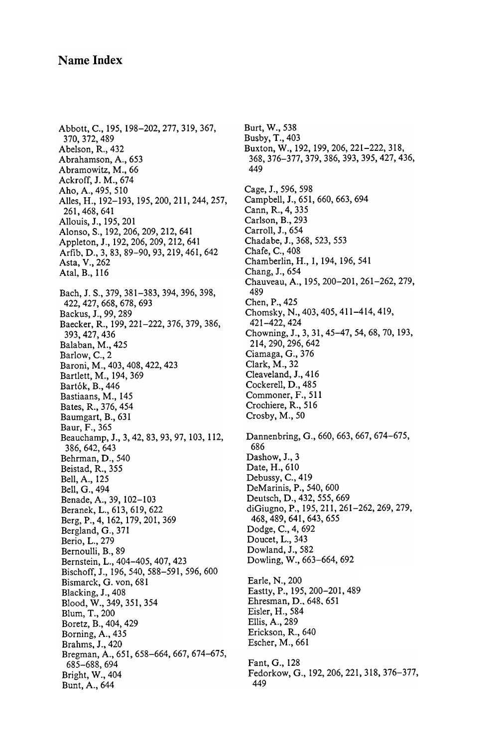## Name Index

Bach, J. S., 379, 381–383, 394, 396, 398, 422 , 427 , 668 , 678 , 693 Backus, J., 99, 289 Baecker, R., 199, 221-222, 376, 379, 386, 393 , 427 , 436 Balaban, M., 425 Barlow, C., 2 Baroni, M., 403, 408, 422, 423 Bartlett, M., 194, 369 Bartók, B., 446 Bastiaans, M., 145 Bates, R., 376, 454 Baumgart, B., 631 Baur, F., 365 Beauchamp, J., 3, 42, 83, 93, 97, 103, 112, 386 , 642 , 643 Behrman, D., 540 Beistad, R., 355 Bell, A., 125 Bell, G., 494 Benade, A., 39, 102-103 Beranek, L., 613, 619, 622 Berg, P., 4, 162, 179, 201, 369 Bergland, G., 371 Berio, L., 279 Bernoulli, B., 89 Bernstein, L., 404–405, 407, 423 Bischoff, J., 196, 540, 588-591, 596, 600 Bismarck, G. von, 681 Blacking, J., 408 Blood, W., 349, 351, 354 Blum, T., 200 Boretz, B., 404, 429 Borning, A., 435 Brahms, J., 420 Bregman, A., 651, 658- 664, 667, 674-675, 685–688, 694<br>Bright, W., 404 **Fedorkow**, G Bunt, A., 644 Abbott, C., 195, 198-202, 277, 319, 367, Burt, W., 538<br>370, 372, 489 Busby, T., 403 370, 372, 489 Busby, T., 403<br>Abelson, R., 432 Buxton, W., 19 Abelson, R., 432 Buxton, W., 192, 199, 206, 221–222, 318, Abrahamson, A., 653 368, 376–377, 379, 386, 393, 395, 427, 43 Abramowitz, M., 66 Ackroff, J. M., 674 Aho, A., 495, 510 Cage, J., 596, 598<br>Alles, H., 192–193, 195, 200, 211, 244, 257, Campbell, J., 651, 660, 663, 694 Alles, H., 192-193, 195, 200, 211, 244, 257, 261, 468, 641 Allouis, J., 195, 201 Carlson, B., 29.<br>Alonso, S., 192, 206, 209, 212, 641 Carroll, J., 654 Alonso, S., 192, 206, 209, 212, 641 Carroll, J., 654<br>Appleton, J., 192, 206, 209, 212, 641 Chadabe, J., 368, 523, 553 Appleton, J., 192, 206, 209, 212, 641 Chadabe, J., 3<br>Arfib D. 3, 83, 89–90, 93, 219, 461, 642 Chafe, C., 408 Arfib, D., 3, 83, 89–90, 93, 219, 461, 642<br>Asta, V., 262

 $E$ hresman,  $D<sub>1</sub>$ , 648, 65 Eisler, H., 584 Ellis, A., 289 Erickson, R., 640 Escher, M., 661 Fedorkow, G., 192, 206, 221, 318, 376-377, 449 368, 376–377, 379, 386, 393, 395, 427, 436,<br>449 Cann, R., 4, 335<br>Carlson, B., 293 Chamberlin, H., 1, 194, 196, 541<br>Chang, J., 654 Atal, B., 116 Chang, J., 654<br>Chauveau, A., 195, 200–201, 261–262, 279, 489 Chen, P., 425 Chomsky, N., 403, 405, 411-414, 419, 421 - 422 , 424 Chowning, J., 3, 31, 45–47, 54, 68, 70, 193, 214, 290, 296, 642 Ciamaga, G., 376 Clark, M., 32 Cleaveland, J., 416 Cockerell, D., 485 Commoner, F., 511 Crochiere, R., 516 Crosby,  $M<sub>1</sub>$ , 50 Dannenbring, G., 660, 663, 667, 674-675, 686 Dashow, J., 3 Date, H., 610 Debussy, C., 419 DeMarinis, P., 540, 600 Deutsch, D., 432, 555, 669 di Giugno, P., 195, 211, 261-262, 269, 279, 468 , 489 , 641 , 643 , 655 Dodge, C., 4, 692 Doucet, L., 343 Dowland, J., 582 Dowling, W., 663-664, 692 Earle, N., 200 Eastty, P., 195, 200-201, 489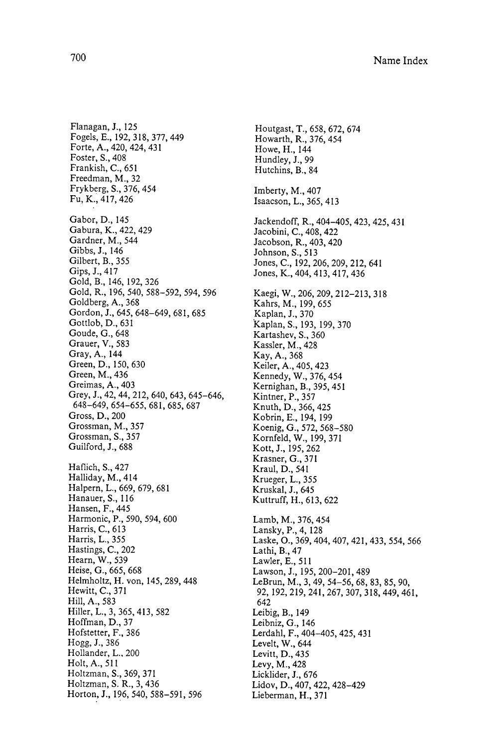Haflich, S., 427 Halliday, M., 414 Halpern, L., 669, 679, 681 Hanauer, S., 116 Hansen, F., 445 Harmonic, P., 590, 594, 600 Harris, C., 613 Harris, L., 355 Hastings, C., 202 Hearn, W., 539 Heise, G., 665, 668 Helmholtz, H. von, 145, 289, 448 Hewitt, C., 371 Hill, A., 583 Hiller, L., 3, 365,413, 582 Hoffman, D., 37 Hofstetter, F., 386 Holtzman, S., 369, 371  $r_{\rm F}$ onzman, 5.  $r_{\rm A}$ , 5, 45 Horton, J., 196, 540, 588-591, 596 Flanagan, J., 125 Fogels, E., 192, 318, 377, 449 Forte, A., 420, 424, 431 Foster, S., 408 Frankish, C., 651 Freedman, M., 32 Frykberg, S., 376, 454 Fu, K., 417, 426 Gabor, D., 145 Gabura, K., 422, 429 Gardner, M., 544 Gibbs, J., 146 Gilbert, B., 355 Gips, J., 417 Gold, B., 146, 192, 326 Gold, R., 196, 540, 588- 592, 594, 596 Goldberg, A., 368 Gordon, J., 645, 648-649, 681, 685 Gottlob, D., 631 Goude, G., 648 Grauer, Y., 583 Gray, A., 144 Green, D., 150, 630 Green, M., 436 Greimas, A., 403 Grey, J., 42, 44, 212, 640, 643, 645–646, 648-649, 654-655, 681, 685, 687 Gross, D., 200 Grossman, M., 357 Grossman, S., 357 Guilford, J., 688 Hogg, J., 386 Hollander, L., 200 Holt, A., 511

Imberty,  $M<sub>1</sub>$ , 407 Isaacson, L., 365, 413 Houtgast, T., 658, 672, 674 Howarth, R., 376,454 Howe, H., 144 Hundley, J., 99 Hutchins, B., 84 Jackendoff, R., 404-405, 423, 425, 431 Jacobini, C., 408, 422 Jacobson, R., 403, 420 Johnson, S., 513 Jones, C., 192, 206, 209, 212, 641 Jones, K ., 404, 413, 417, 436 Kaegi, W., 206, 209, 212-213, 318 Kahrs, M., 199, 655 Kaplan, J., 370 Kaplan, S., 193, 199, 370 Kartashev, S., 360 Kassler, M., 428 Kay, A., 368 Keiler, A., 405, 423 Kennedy, W., 376, 454 Kernighan, B., 395, 451 Kintner, P., 357 Knuth, D., 366, 425 Kobrin, E., 194, 199 Koenig, G., 572, 568- 580 Kornfeld, W., 199, 371 Kott, J., 195, 262 Krasner, G., 371 Kraul, D., 541 Krueger, L., 355 Kruskal, J., 645 Kuttruff, H., 613, 622 Lamb, M., 376, 454 Lansky, P., 4, 128 Laske, O., 369, 404, 407, 421, 433, 554, 566 Lathi, B., 47 Lawier, E., 511 Lawson, J., 195, 200-201, 489 LeBrun, M., 3, 49, 54-56, 68, 83, 85, 90, 92, 192, 219, 241, 267, 307, 318, 449, 461, 642 Leibig, B., 149 Leibniz, G., 146 Lerdahl, F., 404-405, 425, 431 Levelt, W., 644 Levitt, D., 435 Levy, M., 428 Licklider, J., 676 Lidov, D., 407, 422, 428-429 Lieberman, H., 371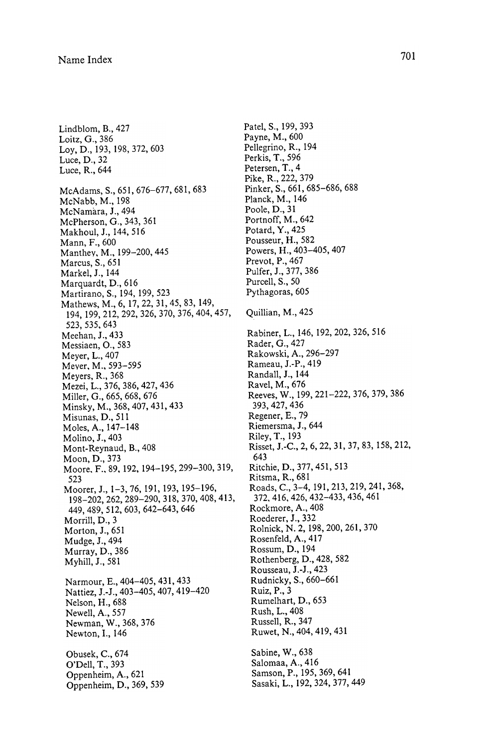- : 1999 - 1999<br>1999 - 1999 - 1999  $\begin{array}{c}\n\frac{1}{2} \\
\frac{1}{2} \\
\frac{1}{2} \\
\frac{1}{2} \\
\frac{1}{2} \\
\frac{1}{2} \\
\frac{1}{2} \\
\frac{1}{2} \\
\frac{1}{2} \\
\frac{1}{2} \\
\frac{1}{2} \\
\frac{1}{2} \\
\frac{1}{2} \\
\frac{1}{2} \\
\frac{1}{2} \\
\frac{1}{2} \\
\frac{1}{2} \\
\frac{1}{2} \\
\frac{1}{2} \\
\frac{1}{2} \\
\frac{1}{2} \\
\frac{1}{2} \\
\frac{1}{2} \\
\frac{1}{2} \\
\frac{1}{2} \\
\frac{1}{2} \\
\frac{1$  $\begin{array}{c} 1 \\ 1 \\ 1 \\ \vdots \end{array}$  $\begin{bmatrix} 1 \\ 1 \\ 1 \\ 1 \\ 1 \end{bmatrix}$ Patel. Payn<br>Pelle; Perki<br>Peter<br>Peter<br>Peter<br>Peter<br>Peter<br>Peter<br>Peter<br>Peter<br>Peter<br>Peter<br>Peter<br>Petar<br>Peole<br>Pervice<br>Pervice<br>Pervice<br>Pervice<br>Pervice<br>Pervice<br>Pervice<br>Pervice<br>Pervice<br>Rabi Rabi<br>Rabi Rabi<br>Rabi Rabi<br>Rabi Rabi<br>Rabi Ra **International Contract Contract**  $\frac{1}{2}$ Lindblom, B., 427 Loitz, G., 386 Lay, D., 193, 198, 372, 603 Luce,  $D_{\cdot}$ , 32 Luce, R., 644 ~00 Narm<br>Natti Natur<br>Nelso<br>Newe Moi<br>Mua<br>Mua<br>Mua<br>Mua<br>Mar<br>Nat<br>Nat<br>Nat<br>Nat<br>Nat<br>Nat<br>Nat<br>Obtor<br>Optopp : 1999 - 1999 - 1999<br>1999 - 1999 - 1999 - 1999 - 1999 - 1999 - 1999 - 1999 - 1999 - 1999 - 1999 - 1999 - 1999 - 1999 - 1999 - 1999 Newell, A., 557 N<br>N<br>N<br>N<br>N<br>N<br>N<br>N<br>N<br>N<br>N<br>N<br>N Myhill, J., 581<br>Narmour, E., 40<br>Nattiez, J.-J., 40<br>Nattiez, J.-J., 40<br>Newell, A., 557<br>Newman, W., 3<br>Newton, I., 146<br>Obusek, C., 674<br>O'Dell, T., 393<br>Oppenheim, A.,<br>Oppenheim, A.,<br>Oppenheim, D. Newton, I., 146 Narmour, E., 404–405, 431<br>Nattiez, J.-J., 403–405, 407,<br>Nelson, H., 688<br>Newell, A., 557<br>Newman, W., 368, 376<br>Newton, I., 146<br>Obusek, C., 674<br>O'Dell, T., 393<br>Oppenheim, A., 621<br>Oppenheim, D., 369, 539 wObusek, C., 674 O'Dell, T., 393  $\begin{pmatrix} 1 & 1 \\ 1 & 1 \end{pmatrix}$ ~  $\begin{pmatrix} 1 \\ 2 \end{pmatrix}$ wow works works works works works works works works works works works works works works works works works work<br>On the state works works works works works works works works works works works works works works works works w<br>  $-621$ <br> $369$ nheim, A., 621<br>nheim, D., 369, 539<br> k, C., 074<br>I, T., 393<br>heim, A., 621<br>heim, D., 369, 539 McAdams, S., 651, 676-677, 681, 683 McNabb, M., 198 McNamara, J., 494 McPherson, G., 343, 361 Makhoul, J., 144, 516 Mann, F., 600 Manthey, M., 199-200, 445 Marcus, S., 651 Markel, J., 144 Marquardt, D., 616 Martirano, S., 194, 199, 523 Mathews, M., 6, 17, 22, 31, 45, 83, 149, 194, 199, 212, 292, 326, 370, 376, 404, 457, 523, 535, 643 Meehan, J., 433 Messiaen, O., 583 Meyer, L., 407 Meyer, M., 593-595 Meyers, R., 368 Mezei, L., 376, 386, 427, 436 Miller, G., 665, 668, 676 Minsky, M., 368, 407, 431,433 Misunas, D., 511 Moles, A., 147- 148 Molino, J., 403 Mont-Reynaud, B., 408 Moon, D., 373 Moore, F., 89, 192, 194-195, 299-300, 319, 523 Moorer, J., 1-3, 76, 191, 193, 195-196, 198-202, 262, 289-290, 318, 370, 408, 413, 449,489, 512, 603, 642- 643, 646 Morrill, D., 3 Morton, J., 651 Mudge, J., 494 Murray, D., 386 Myhill, J., 581

Patel, S., 199, 393<br>
Paye. M., 600<br>
Pelegrino, R., 194<br>
Perkis, T., 596<br>
Perkis, T., 596<br>
Picke, R., 222, 379<br>
Pinke, R., 222, 379<br>
Pinke, R., 222, 379<br>
Pinke, R., 222, 379<br>
Pinck, M., 146<br>
Poole, D., 31<br>
Poole, D., 377, 3 Rockmore, A., 408<br>Roederer, J., 332<br>Rolnick, N. 2, 198, 200, 2<br>Rosenfeld, A., 417<br>Rossum, D., 194<br>Rothenberg, D., 428, 582<br>Rousseau, J.-J., 423<br>Rudnicky, S., 660–661<br>Ruiz, P., 3<br>Rumelhart, D., 653<br>Rush, L., 408<br>Russell, R. Payne, M., 600 Pellegrino, R., 194 Patel, S., 199, 393<br>
Payne, M., 600<br>
Pellegrino, R., 194<br>
Pertis, T., 596<br>
Petersen, T., 4<br>
Pike, R., 222, 379<br>
33<br>
Thiker, S., 222, 379<br>
Planck, M., 146<br>
Poole, D., 31<br>
Planck, M., 146<br>
Poole, D., 31<br>
Pousseur, H., 482<br>
P .Patel, S., Payne, Nellegrin<br>Perkis, Teyne, Nellegrin<br>Perkis, Terkis, Teyne, R., Pinker, S.<br>Pinker, R., Pinker, S.<br>Pottard, Poole, D.<br>Pottard, Poole, D.<br>Pottard, Poole, D.<br>Pottard, Poole, D.<br>Pottard, Poole, D.<br>Powers, Prevo ì Patel, S., 199, 39<br>Payne, M., 600<br>Pellegrino, R., 1<br>Perkis, T., 596<br>Petersen, T., 4<br>Pike, R., 222, 37<br>Pinker, S., 661, 0<br>Planck, M., 146 el, S., 199, 393<br>me, M., 600<br>legrino, R., 194<br>kis, T., 596<br>ersen, P., 4<br>e, R., 222, 379<br>ersen, T., 4<br>e, R., 261, 685–686, 688<br>mck, M., 146<br>trundf, M., 642<br>tard, Y., 432<br>useur, H., 682<br>useur, H., 682<br>useur, H., 482<br>useur, H Planck, M., 146 l Pellegrino, R., 194<br>
Perkis, T., 596<br>
Petersen, T., 4<br>
Pitke, R., 222, 379<br>
Pinke, R., 222, 379<br>
Pinke, R., 222, 379<br>
Pinke, M., 144<br>
Potarof, M., 642<br>
Potarof, M., 442<br>
Potarof, M., 442<br>
Potarof, P., 463<br>
Powers, H., 403<br> Poole, D., 31 194<br>,685–686, 688<br>6<br>,42<br>,42 Rabiner, L., 146, 192, 202, 326, 516 Rader, G., 427 Rakowski, A., 296-297 Rameau, J.-P., 419 Randall, J., 144 Ravel, M., 676 Reeves, W., 199, 221-222, 376, 379, 386 393, 427, 436 Regener, E., 79 Riemersma, J., 644 Riley, T., 193 Risset, J.-C., 2, 6, 22, 31, 37, 83, 158, 212, 643 Ritchie, D., 377, 451, 513 643<br>Ritchie, D., 377, 451, 513<br>Ritsma, R., 681<br>Roads, C., 3–4, 191, 213, 219, 241, 368,<br>372, 416, 426, 432–433, 436, 461 Rockmore, A., 408 iitsma, R., 681<br>toads, C., 3–4, 191, 213, 219, 241, 368,<br>372, 416, 426, 432–433, 436, 461<br>tockmore, A., 408 Roederer, J., 332 Rolnick, N. 2, 198, 200, 261, 370 Rosenfeld, A., 417 Rossum, D., 194 Rothenberg, D., 428, 582 Rousseau, J.-J., 423 Rudnicky, S., 660-661 Ruiz, P., 3 Rumelhart, D., 653 Rush, L., 408 Russell, R., 347 Ruwet, N., 404, 419, 431 Sabine, W., 638 Salomaa, A., 416 Samson, P., 195, 369, 641 Sasaki, L., 192, 324, 377, 449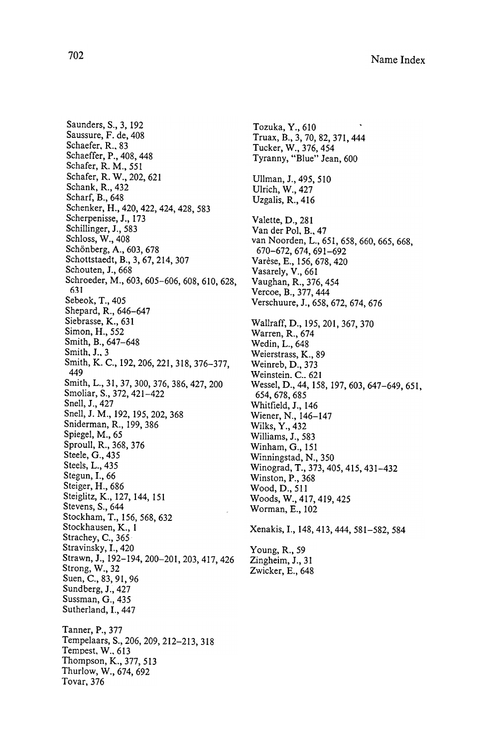Thompson, K., 377, 513 Thurlow, W., 674, 692 Saunders, S., 3, 192 Saussure, F. de, 408 Schaefer, R., 83 Schaeffer, P., 408, 448 Schafer, R. M., 551 Schafer, R. W., 202, 621 Schank, R., 432 Scharf, B., 648 Schenker, H., 420, 422, 424, 428, 583 Scherpenisse, J., 173 Schillinger, J., 583 Schloss, W., 408 Schönberg, A., 603, 678 Schottstaedt, B., 3, 67, 214, 307 Schouten, J., 668 Schroeder, M., 603, 605-606, 608, 610, 628, 631 Sebeok, T., 405 Shepard, R., 646–647 Siebrasse, K., 631 Simon, H., 552 Smith, B., 647-648 Smith, J., 3 Smith, K. C., 192, 206, 221, 318, 376-377, 449 Smith, L., 31, 37, 300, 376, 386, 427, 200 Smoliar, S., 372, 421-422 Snell, J., 427 Snell, J. M., 192, 195, 202, 368 Sniderman, R., 199, 386 Spiegel, M., 65 Sproull, R., 368, 376 Steele, G., 435 Steels, L., 435 Stegun, I., 66 Steiger, H., 686 Steiglitz, K., 127, 144, 151 Stevens, S., 644 Stockham, T., 156, 568, 632 Stockhausen, K., 1 Strachey, C., 365 Stravinsky, I., 420 Strawn, J., 192-194, 200-201, 203, 417, 426 Strong, W., 32 Suen, C., 83, 91, 96 Sundberg, J., 427 Sussman, G., 435 Sutherland, I., 447 Tanner, P., 377 Tempelaars, S., 206, 209, 212-213, 318 Tempest, W., 613

Tovar, 376

Young, R., 59 Tozuka, Y., 610 Truax, B., 3, 70, 82, 371, 444 Tucker, W., 376, 454 Tyranny, "Blue" Jean, 600 Ullman, J., 495, 510 Ulrich, W., 427 Uzgalis, R., 416 Valette, D., 281 Van der Pol, B., 47 van Noorden, L., 651, 658, 660, 665, 668, 670 - 672, 674, 691 - 692 Varèse, E., 156, 678, 420 Vasarely, V., 661 Vaughan, R., 376, 454 Vercoe, B., 377, 444 Verschuure, J., 658, 672, 674, 676 Wallraff, D., 195, 201, 367, 370 Warren, R., 674 Wedin, L., 648 Weierstrass, K., 89 Weinreb, D., 373 Weinstein. C., 621 Wessel, D., 44, 158, 197, 603, 647-649, 651, 654, 678, 685 Whitfield, J., 146 Wiener, N., 146-147 Wilks, Y., 432 Williams, J., 583 Winham, G., 151 Winningstad, N., 350 Winograd, T., 373, 405, 415, 431-432 Winston, P., 368 Wood, D., 511 Woods, W., 417, 419, 425 Worman, E., 102 Xenakis, I., 148, 413, 444, 581–582, 584

Zingheim, J., 31 Zwicker, E., 648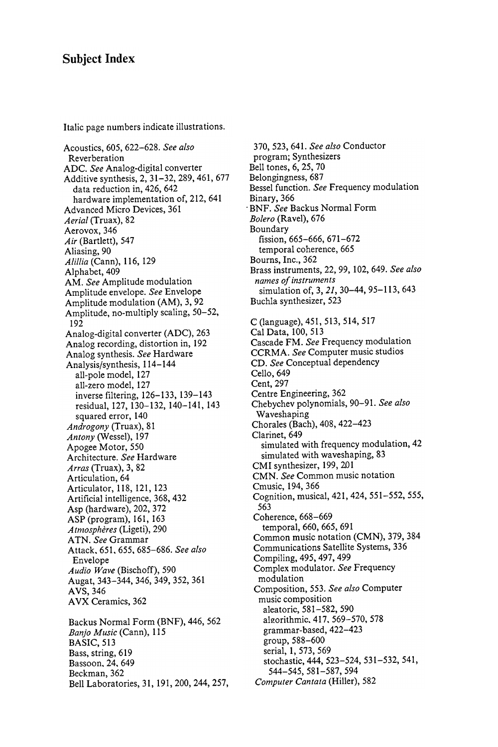## Subject Index

Italic page numbers indicate illustrations .

Acoustics, 605, 622-628. See also Reverberation ADC . See Analog - digital converter  $\overline{\phantom{a}}$  , 21  $\overline{\phantom{a}}$  , 31  $\overline{\phantom{a}}$  , 31  $\overline{\phantom{a}}$  , 31  $\overline{\phantom{a}}$  , 31  $\overline{\phantom{a}}$  , 31  $\overline{\phantom{a}}$  , 31  $\overline{\phantom{a}}$  , 31  $\overline{\phantom{a}}$  , 31  $\overline{\phantom{a}}$  , 31  $\overline{\phantom{a}}$  , 31  $\overline{\phantom{a}}$  , 31  $\overline{\phantom{a}}$  , 31 data reduction in, 426, 642<br>hardware implementation of, 212, 641 hardware implementation of , 212 , 641  $\alpha$  . The decay density  $\alpha$  is a set of  $\alpha$  defined by  $\alpha$ Aerial (Truax), 82 Aerovox, 346<br>Air (Bartlett), 547  $\sim$   $\sim$   $\sim$   $\sim$   $\sim$   $\sim$   $\sim$ . *90* Alillia ( Cann ) , 116 , 129 Alphabet, 409<br>AM. See Amplitude modulation Amplitude envelope. See Envelope Amplitude modulation (AM), 3, 92 Amplitude modulation ( AM ) , 3 , 92  $A \rightarrow B$  ,  $A \rightarrow C$  ,  $A \rightarrow C$  ,  $B \rightarrow C$  ,  $C \rightarrow C$  ,  $C \rightarrow C$  ,  $C \rightarrow C$  ,  $C \rightarrow C$  ,  $C \rightarrow C$  ,  $C \rightarrow C$  ,  $C \rightarrow C$  ,  $C \rightarrow C$  ,  $C \rightarrow C$  ,  $C \rightarrow C$  ,  $C \rightarrow C$  ,  $C \rightarrow C$  ,  $C \rightarrow C$  ,  $C \rightarrow C$  ,  $C \rightarrow C$  ,  $C \rightarrow C$  ,  $C \rightarrow C$  ,  $C \rightarrow C$  ,  $C \rightarrow C$  ,  $C \rightarrow C$  ,  $C \rightarrow C$ 192 Analog-digital converter (ADC), 263 Analog - digital converter ( ADC ) , 263 Analog recording , distortion in , 192 Analog synthesis. See Hardware Analysis/synthesis, 114-144<br>all-pole model, 127 all - pole model , 127 an <u>- 2010 mars - 2</u> inverse filtering, 126-133, 139-143 residual, 127, 130-132, 140-141, 143 squared error, 140 Androgony (Truax), 81<br>Antony (Wessel), 197  $\sim$  1970  $\sim$  1970  $\sim$  1970  $\sim$  $\sim$  ,  $\sim$  ,  $\sim$  ,  $\sim$  ,  $\sim$  ,  $\sim$  ,  $\sim$  ,  $\sim$  ,  $\sim$  ,  $\sim$  ,  $\sim$  ,  $\sim$  ,  $\sim$  ,  $\sim$  ,  $\sim$  ,  $\sim$  ,  $\sim$  ,  $\sim$  ,  $\sim$  ,  $\sim$  ,  $\sim$  ,  $\sim$  ,  $\sim$  ,  $\sim$  ,  $\sim$  ,  $\sim$  ,  $\sim$  ,  $\sim$  ,  $\sim$  ,  $\sim$  ,  $\sim$  ,  $\sim$ Architecture. See Hardware Arras (Truax), 3, 82 Articulation, 64 Articulator, 118, 121, 123 Artificial intelligence, 368, 432 Asp (hardware), 202, 372 ASP (program), 161, 163 Atmosphères (Ligeti), 290 ATN. See Grammar Attack, 651, 655, 685-686. See also Envelope Audio Wave (Bischoff), 590 Augat, 343-344, 346, 349, 352, 361 AVS, 346 AVX Ceramics, 362 Backus Normal Form (BNF), 446, 562 Banjo Music (Cann), 115 **BASIC**, 513 Bass, string, 619 Bassoon, 24, 649 Beckman, 362 Bell Laboratories, 31, 191, 200, 244, 257,

370, 523, 641. See also Conductor program; Synthesizers Bell tones, 6, 25, 70 Belongingness, 687 Bessel function. See Frequency modulation Binary, 366 . BNF . See Backus Normal Form Bolero (Ravel), 676 Boundary fission, 665-666, 671-672 temporal coherence, 665 Bourns, Inc., 362 Brass instruments, 22, 99, 102, 649. See also names of instruments simulation of, 3, 21, 30-44, 95-113, 643 Buchla synthesizer, 523 C (language), 451, 513, 514, 517 Cal Data, 100, 513 Cascade FM. See Frequency modulation CCRMA. See Computer music studios CD. See Conceptual dependency Cello, 649 Cent, 297 Centre Engineering, 362 Chebychev polynomials, 90-91. See also Waveshaping Chorales (Bach), 408, 422-423 Clarinet, 649 simulated with frequency modulation, 42 simulated with waveshaping, 83 CMI synthesizer, 199, 201 CMN. See Common music notation Cmusic, 194, 366 Cognition, musical, 421, 424, 551-552, 555, 563 Coherence, 668-669 temporal, 660, 665, 691 Common music notation (CMN), 379, 384 Communications Satellite Systems, 336 Compiling, 495, 497, 499 Complex modulator. See Frequency modulation Composition, 553. See also Computer music composition aleatoric, 581-582, 590 algorithmic, 417, 569-570, 578 grammar-based, 422–423 group, 588-600 serial, 1, 573, 569 stochastic, 444, 523-524, 531-532, 541, 544-545, 581-587, 594 Computer Cantata (Hiller), 582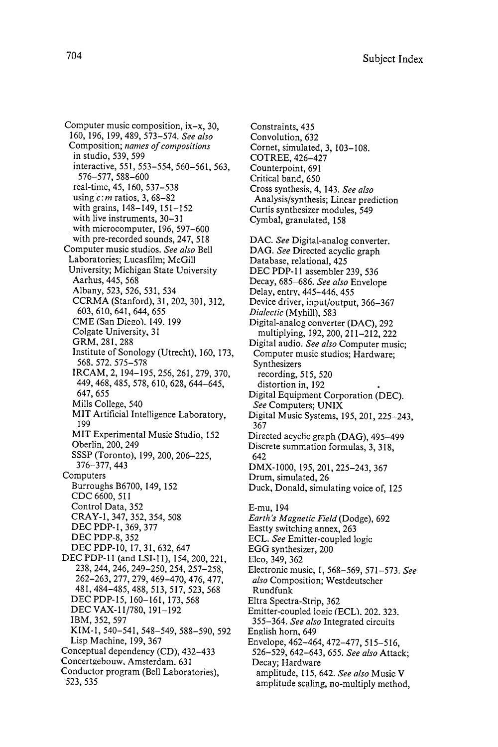Computer music composition,  $ix-x$ , 30, 160, 196, 199, 489, 573-574. See also Composition; names of compositions in studio, 539, 599 interactive, 551, 553-554, 560-561, 563, 576 - 577 , 588 - 600 real-time, 45, 160, 537-538 using  $c$ : m ratios, 3, 68-82 with grains, 148-149, 151-152 with live instruments, 30-31 with microcomputer, 196, 597–600 with pre-recorded sounds, 247, 518 Computer music studios. See also Bell Laboratories; Lucasfilm; McGill University; Michigan State University Aarhus, 445, 568 Albany , 523, 526, 531, 534 CCRMA (Stanford), 31, 202, 301, 312, 603, 610, 641, 644, 655 CME (San Diego), 149, 199 Colgate University, 31 GRM, 281, 288 Institute of Sonology (Utrecht), 160, 173, 568. 572. 575-578 IRCAM, 2, 194-195, 256, 261, 279, 370, 449, 468, 485, 578, 610, 628, 644-645, 647, 655 Mills College, 540 MIT Artificial Intelligence Laboratory, 199 MIT Experimental Music Studio, 152 Oberlin, 200, 249 SSSP (Toronto), 199, 200, 206-225, 376 - 377 , 443 Computers Burroughs B6700, 149, 152 CDC 6600 , 511 Control Data, 352 CRAY-1, 347, 352, 354, 508 DEC PDP-1, 369, 377 DEC PDP-8, 352 DEC PDP-10, 17, 31, 632, 647 DEC PDP-11 (and LSI-11), 154, 200, 221, 238, 244, 246, 249-250, 254, 257-258, 262 - 263, 277, 279, 469 - 470, 476, 477, 481 , 484 - 485 , 488 , 513 , 517 , 523 , 568 DEC PDP-15, 160-161, 173, 568 DEC VAX-11/780, 191-192 IBM, 352, 597 KIM-1, 540-541, 548-549, 588-590, 592 Lisp Machine, 199, 367 Conceptual dependency (CD), 432-433 Concertgebouw, Amsterdam. 631 Conductor program (Bell Laboratories), 523 , 535

Convolution, 632 Cornet, simulated, 3, 103-108. COTREE, 426-427 Counterpoint, 691 Critical band, 650 Cross synthesis, 4, 143. See also Analysis/synthesis; Linear prediction Curtis synthesizer modules, 549 Cymbal, granulated, 158 DAC. See Digital-analog converter. DAG. See Directed acyclic graph Database, relational, 425 DEC PDP-11 assembler 239, 536 Delay, entry, 445–446, 455 Device driver, input/output, 366-367 Dialectic (Myhill), 583 Digital-analog converter (DAC), 292 multiplying, 192, 200, 211–212, 222 Digital audio. See also Computer music; Computer music studios; Hardware; Synthesizers recording, 515, 520 distortion in, 192 Digital Equipment Corporation ( DEC ) . see Computers ; U Digital Music Systems, 195, 201, 225–243, 367 Directed acyclic graph (DAG), 495-499 Discrete summation formulas, 3, 318, 642 DMX-1000, 195, 201, 225-243, 367 Drum, simulated, 26 Duck, Donald, simulating voice of, 125 E-mu, 194 Earth's Magnetic Field (Dodge), 692 Eastty switching annex, 263<br>ECL. See Emitter-coupled logic Equation - contribution - contribution - contribution - contribution - contribution - contribution - contribution - contribution - contribution - contribution - contribution - contribution - contribution - contribution -  $\mathcal{L}$  . 200  $\mathcal{L}$  , 200  $\mathcal{L}$  , 200  $\mathcal{L}$  , 200  $\mathcal{L}$  , 200  $\mathcal{L}$ Elco, 349, 362 Electronic music, 1, 568-569, 571-573. See also Composition; Westdeutscher Rundfunk Eltra Spectra-Strip, 362 Emitter-coupled logic (ECL), 202, 323. 355-364. See also Integrated circuits English horn, 649 Envelope , 462 - 472 - 472 - 472 - 472 - 472 - 472 - 472 - 472 - 472 - 472 - 472 - 472 - 47 526 - 529 **- 529 - 642 - 643 - 643 - 643 - 643 - 643 - 643 - 643 - 643 - 643 - 643 - 643 - 643 - 643 - 64** Decay; Hardware amplitude, 115, 642. See also Music V

Constraints, 435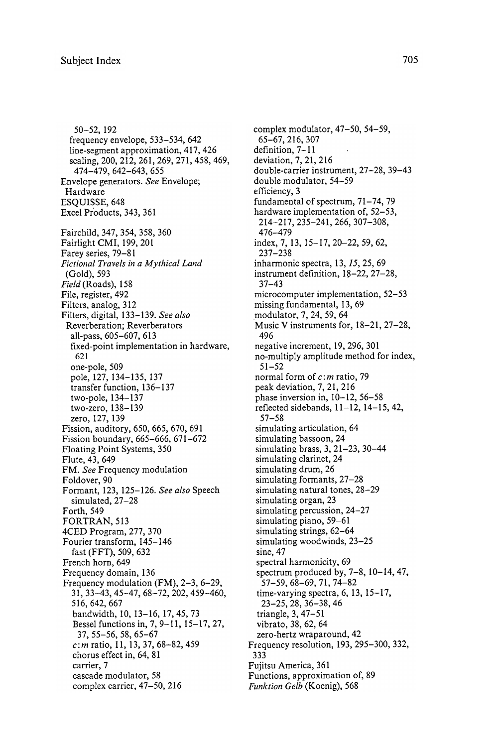50 - 52 , 192 frequency envelope, 533–534, 642 line-segment approximation, 417, 426 scaling, 200, 212, 261, 269, 271, 458, 469, 474 - 479 , 642 - 643 , 655 Envelope generators. See Envelope; Hardware ESQUISSE, 648 Excel Products, 343, 361 Fairchild, 347, 354, 358, 360 Fairlight CMI, 199, 201 Farey series, 79–81 Fictional Travels in a Mythical Land (Gold), 593 Field (Roads), 158 File, register, 492 Filters, analog, 312 Filters, digital, 133-139. See also Reverberation; Reverberators all-pass, 605-607, 613 fixed-point implementation in hardware, 621 one-pole, 509 pole, 127, 134-135, 137 transfer function, 136-137 two-pole, 134-137 two-zero, 138-139 zero, 127, 139 Fission, auditory, 650, 665, 670, 691 Fission boundary, 665-666, 671-672 Floating Point Systems, 350 Flute, 43, 649 FM. See Frequency modulation Foldover, 90 Formant, 123, 125-126. See also Speech simulated, 27-28 Forth, 549 FORTRAN, 513 4CED Program, 277, 370 Fourier transform, 145-146 fast (FFT), 509, 632 French horn, 649 Frequency domain, 136 Frequency modulation (FM), 2-3, 6-29, 31, 33-43, 45-47, 68-72, 202, 459-460, 516, 642, 667 bandwidth, 10, 13-16, 17, 45, 73 Bessel functions in, 7, 9-11, 15-17, 27, 37, 55-56, 58, 65-67  $c:m$  ratio, 11, 13, 37, 68-82, 459 chorus effect in, 64, 81 carrier, 7 cascade modulator, 58 complex carrier, 47-50, 216

complex modulator,  $47-50$ ,  $54-59$ , 65-67, 216, 307 definition, 7-11 deviation, 7, 21, 216 double-carrier instrument, 27-28, 39-43 double modulator, 54-59 efficiency, 3 fundamental of spectrum,  $71-74$ ,  $79$ hardware implementation of, 52-53, 214 - 217, 235 - 241, 266, 307 - 308, 476-479 index, 7, 13, 15-17, 20-22, 59, 62, 237 - 238 inharmonic spectra, 13, 15, 25, 69 instrument definition,  $18-22$ ,  $27-28$ ,  $37 - 43$ microcomputer implementation, 52-53 missing fundamental, 13, 69 modulator, 7, 24, 59, 64 Music V instruments for, 18-21, 27-28, 496 negative increment, 19, 296, 301 no-multiply amplitude method for index, 51 - 52 normal form of  $c$ : m ratio, 79 peak deviation, 7, 21, 216 phase inversion in,  $10-12$ ,  $56-58$ reflected sidebands,  $11 - 12$ ,  $14 - 15$ ,  $42$ ,  $57 - 58$ simulating articulation, 64 simulating bassoon, 24 simulating brass, 3, 21-23, 30-44 simulating clarinet, 24 simulating drum, 26 simulating formants, 27-28 simulating natural tones, 28-29 simulating organ, 23 simulating percussion,  $24-27$ simulating piano, 59-61 simulating strings, 62-64 simulating woodwinds, 23-25 sine, 47 spectral harmonicity, 69 spectrum produced by,  $7-8$ ,  $10-14$ ,  $47$ ,  $57 - 59, 68 - 69, 71, 74 - 82$ time-varying spectra,  $6$ ,  $13$ ,  $15-17$ , 23 - 25 , 28 , 36 - 38 , 46 triangle, 3, 47-51 vibrato, 38, 62, 64 zero-hertz wrap around, 42 Frequency resolution, 193, 295-300, 332, 333 Fujitsu America, 361 Functions, approximation of, 89 Funktion Gelb (Koenig), 568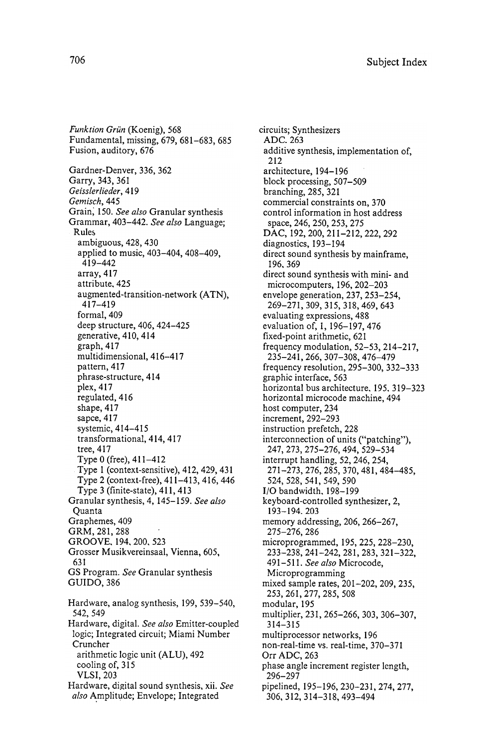Funktion Grün (Koenig), 568 Fundamental, missing, 679, 681-683, 685 Fusion, auditory, 676 also Amplitude; Envelope; Integrated Gardner-Denver, 336, 362 Garry, 343, 361 Geisslerlieder, 419 Gemisch, 445 Grain, 150. See also Granular synthesis Grammar, 403-442. See also Language; **Rules** ambiguous, 428, 430 applied to music, 403-404, 408-409, 419 - 442 array, 417 attribute, 425 augmented-transition-network (ATN), 417 - 419 formal, 409 deep structure, 406, 424-425 generative, 410, 414 graph, 417 multidimensional, 416-417 pattern, 417 phrase-structure, 414 plex, 417 regulated, 416 shape, 417 sapce, 417 systemic, 414-415 transformational, 414, 417 tree, 417 Type 0 (free), 411-412 Type 1 (context-sensitive), 412, 429, 431 Type 2 (context -free), 41 1- 413, 416, 446 Type  $3$  (finite-state),  $411, 413$ Granular synthesis, 4, 145-159. See also Quanta Graphemes, 409 GRM, 281, 288 GROOVE, 194, 200, 523 Grosser Musikvereinsaal, Vienna, 605, 631 GS Program. See Granular synthesis GUIDO, 386 Hardware, analog synthesis, 199, 539-540, 542, 549 Hardware, digital. See also Emitter-coupled logic; Integrated circuit; Miami Number Cruncher arithmetic logic unit (ALU), 492 cooling of, 315 VLSI, 203 Hardware, digital sound synthesis, xii. See

circuits; Synthesizers ADC. 263 additive synthesis, implementation of, 212 architecture, 194-196 block processing, 507-509 branching, 285, 321 commercial constraints on, 370 control information in host address space, 246, 250, 253, 275 DAC, 192, 200, 211-212, 222, 292 diagnostics, 193-194 direct sound synthesis by mainframe, 196, 369 direct sound synthesis with mini- and microcomputers, 196, 202-203 envelope generation, 237, 253-254, 269 - 271 , 309 , 315 , 318 , 469 , 643 evaluating expressions, 488 evaluation of, 1, 196-197, 476 fixed-point arithmetic, 621 frequency modulation,  $52-53$ ,  $214-217$ , 235 - 241 , 266 , 307 - 308 , 476 - 479 frequency resolution, 295-300, 332-333 graphic interface, 563 horizontal bus architecture, 195, 319-323 horizontal microcode machine, 494 host computer, 234 increment, 292-293 instruction prefetch, 228 interconnection of units ("patching"), 247 , 273 , 275 - 276 , 494 , 529 - 534 interrupt handling, 52, 246, 254, 271 - 273 , 276 , 285 , 370 , 481 , 484 - 485 , 524, 528, 541, 549, 590 I/O bandwidth, 198-199 keyboard-controlled synthesizer, 2, 193 - 194 . 203 memory addressing, 206, 266-267, 275-276, 286 microprogrammed, 195, 225, 228-230, 233 - 238 , 241 - 242 , 281 , 283 , 321 - 322 , 491-511. See also Microcode. Microprogramming mixed sample rates, 201-202, 209, 235, 253 , 261 , 277 , 285 , 508 modular, 195 multiplier, 231, 265-266, 303, 306-307, 314 - 315 multiprocessor networks, 196 non-real-time vs. real-time, 370-371 Orr ADC, 263 phase angle increment register length, 296 - 297 pipelined, 195-196, 230-231, 274, 277, 306 , 312 , 314 - 318 , 493 - 494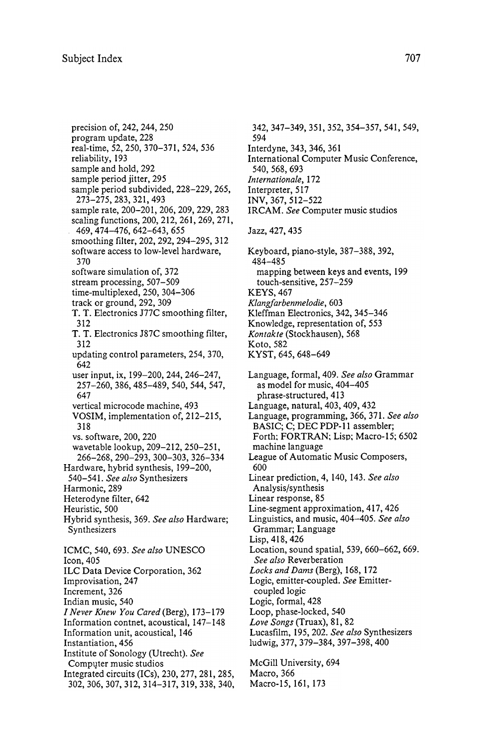precision of, 242, 244, 250 program update, 228 real-time, 52, 250, 370-371, 524, 536 reliability, 193 sample and hold, 292 sample period jitter, 295 sample period subdivided, 228-229, 265, 273 - 275 , 283 , 321 , 493 sample rate, 200-201, 206, 209, 229, 283 scaling functions, 200, 212, 261, 269, 271, 469 , 474 - 476 , 642 - 643 , 655 smoothing filter, 202, 292, 294–295, 312 software access to low-level hardware. 370 software simulation of, 372 stream processing, 507-509 time-multiplexed, 250, 304-306 track or ground, 292, 309 T. T. Electronics J77C smoothing filter, 312 T. T. Electronics J87C smoothing filter, 312 updating control parameters, 254, 370, 642 user input, ix, 199-200, 244, 246-247, 257 - 260, 386, 485 - 489, 540, 544, 547, 647 vertical microcode machine, 493 VOSIM, implementation of, 212-215, 318 vs. software, 200, 220 wavetable lookup, 209-212, 250-251, 266 - 268 , 290 - 293 , 300 - 303 , 326 - 334 Hardware, hybrid synthesis, 199-200, 540-541. See also Synthesizers Harmonic, 289 Heterodyne filter, 642 Heuristic, 500 Hybrid synthesis, 369. See also Hardware; Synthesizers ICMC, 540, 693. See also UNESCO Icon, 405 ILC Data Device Corporation, 362 Improvisation, 247 Increment, 326 Indian music, 540 I Never Knew You Cared (Berg), 173- 179 Information contnet, acoustical, 147-148 Information unit, acoustical, 146 Instantiation, 456 Institute of Sonology (Utrecht). See Computer music studios Integrated circuits  $(ICs)$ ,  $230$ ,  $277$ ,  $281$ ,  $285$ , 302, 306, 307, 312, 314-317, 319, 338, 340,

McGill University, 694 Macro, 366 342, 347-349, 351, 352, 354-357, 541, 549, 594 Interdyne, 343, 346, 361 International Computer Music Conference, 540 , 568 , 693 Internationale, 172 Interpreter, 517 INV , 367 , 512 - 522 IRCAM. See Computer music studios Jazz , 427 . 435 Keyboard, piano-style, 387-388, 392, 484 - 485 mapping between keys and events, 199 touch-sensitive, 257-259 **KEYS, 467** Klangfarbenmelodie, 603 Kleffman Electronics, 342, 345-346 Knowledge, representation of, 553 Kontakte (Stockhausen), 568 Koto, 582 KYST, 645, 648-649 Language, formal, 409. See also Grammar as model for music, 404-405 phrase-structured, 413 Language, natural, 403, 409, 432 Language, programming, 366, 371. See also BASIC; C; DEC PDP-11 assembler; Forth; FORTRAN; Lisp; Macro-15; 6502 machine language League of Automatic Music Composers, 600 Linear prediction, 4, 140, 143. See also Analysis/synthesis Linear response, 85 Line-segment approximation, 417, 426 Linguistics, and music, 404-405. See also Grammar; Language Lisp, 418, 426 Location, sound spatial, 539, 660-662, 669. See also Reverberation Locks and Dams (Berg), 168, 172 Logic, emitter-coupled. See Emittercoupled logic Logic, formal, 428 Loop, phase-locked, 540 Love Songs (Truax), 81, 82 Lucasfilm, 195, 202. See also Synthesizers ludwig, 377, 379-384, 397-398, 400

Macro-15, 161, 173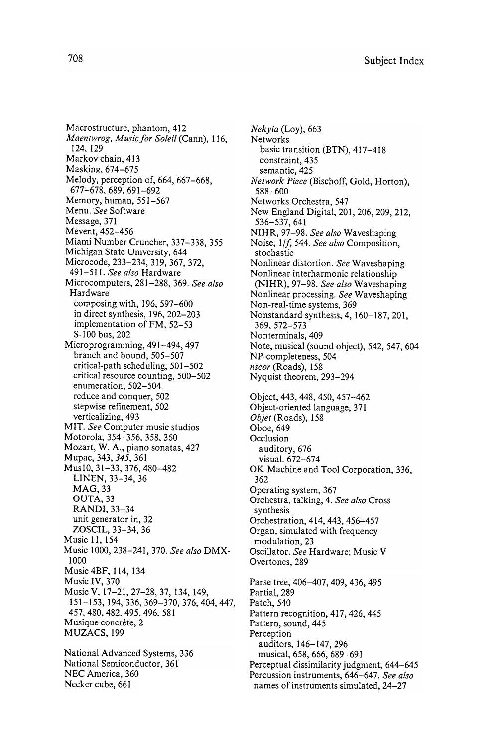NEC America, 360 Macrostructure, phantom, 412 Maentwrog, Music for Soleil (Cann), 116, 124 . 129 Markov chain, 413 Masking, 674-675 Melody, perception of, 664, 667-668, 677-678, 689, 691-692 Memory, human, 551-567 Menu. See Software Message, 371 Mevent, 452-456 Miami Number Cruncher, 337-338, 355 Michigan State University, 644 Microcode, 233-234, 319, 367, 372, 491-511. See also Hardware Microcomputers, 281-288, 369. See also Hardware composing with,  $196, 597-600$ in direct synthesis, 196, 202-203 implementation of FM, 52-53 S-100 bus, 202 Microprogramming, 491-494, 497 branch and bound, 505–507 critical-path scheduling, 501-502 critical resource counting, 500-502 enumeration, 502-504 reduce and conquer, 502 stepwise refinement, 502 verticalizing, 493 MIT. See Computer music studios Motorola, 354-356, 358, 360 Mozart, W. A., piano sonatas, 427 Mupac, 343, 345, 361 Mus10, 31-33, 376, 480-482 LINEN, 33-34, 36 MAG, 33 OUTA, 33 RANDI, 33–34 unit generator in, 32 ZOSCIL, 33-34, 36 Music 11, 154 Music 1000, 238-241, 370. See also DMX-1000 Music 4BF, 114, 134 Music IV, 370 Music V, 17-21, 27-28, 37, 134, 149, 151 - 153, 194, 336, 369 - 370, 376, 404, 447, 457 . 480 . 482 . 495 . 496 . 581 Musique concrète, 2 MUZACS, 199 National Advanced Systems, 336 National Semiconductor, 361

Necker cube, 661

Nekvia (Loy), 663 Networks basic transition (BTN), 417-418 constraint, 435 semantic, 425 Network Piece (Bischoff, Gold, Horton), 588 - 600 Networks Orchestra, 547 New England Digital, 201, 206, 209, 212, 536 - 537 , 641 NIHR, 97-98. See also Waveshaping Noise, 1/f, 544. See also Composition, stochastic Nonlinear distortion. See Waveshaping Nonlinear interharmonic relationship (NIHR), 97-98. See also Waveshaping Nonlinear processing. See Waveshaping Non-real-time systems, 369 Nonstandard synthesis,  $4$ ,  $160-187$ ,  $201$ , 369, 572-573 Nonterminals, 409 Note, musical (sound object), 542, 547, 604 NP-completeness, 504 nscor (Roads), 158 Nyquist theorem, 293–294 Object, 443, 448, 450, 457-462 Object -oriented language , 371 Objet (Roads), 158 Oboe, 649 Occlusion auditory, 676 visual. 672-674 OK Machine and Tool Corporation, 336, 362 Operating system, 367 Orchestra, talking, 4. See also Cross synthesis Orchestration, 414, 443, 456-457 Organ, simulated with frequency modulation, 23 Oscillator. See Hardware; Music V Overtones, 289 Parse tree, 406-407, 409, 436, 495 Partial, 289 Patch, 540 Pattern recognition, 417, 426, 445 Pattern, sound, 445 Perception auditors, 146-147, 296 musical, 658, 666, 689-691 Perceptual dissimilarity judgment, 644-645 Percussion instruments, 646-647. See also names of instruments simulated, 24-27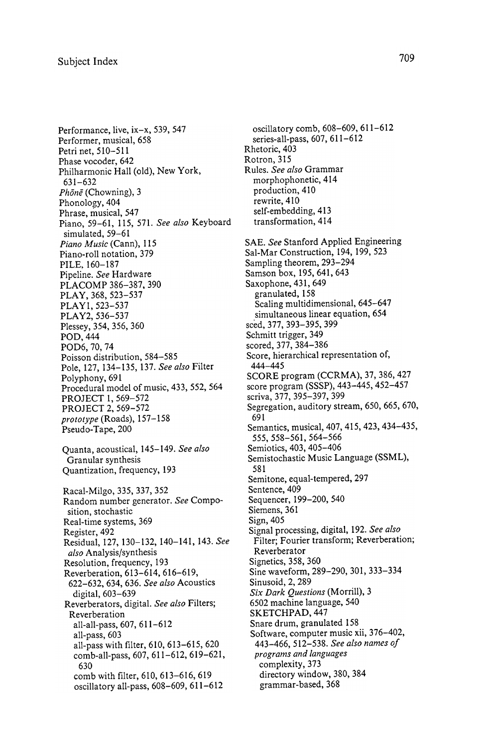Performance, live,  $ix-x$ , 539, 547 Performer, musical, 658 Petri net, 510-511 Phase vocoder, 642 Philharmonic Hall (old), New York, 631-632 Phone (Chowning), 3 Phonology, 404 Phrase, musical, 547 Piano, 59-61, 115, 571. See also Keyboard simulated, 59-61 Piano Music (Cann), 115 Piano-roll notation, 379 PILE. 160- 187 Pipeline. See Hardware PLACOMP 386-387, 390 PLAY, 368, 523-537 PLAY1, 523-537 PLA Y2, 536- 537 Plessey, 354, 356, 360 POD, 444 POD6, 70, 74 Poisson distribution, 584-585 Pole, 127, 134-135, 137. See also Filter Polyphony, 691 Procedural model of music, 433, 552, 564 PROJECT 1, 569-572 PROJECT 2, 569-572 prototype (Roads), 157- 158 Pseudo-Tape, 200 Quanta, acoustical, 145-149. See also Granular synthesis Quantization, frequency, 193 Racal-Milgo, 335, 337, 352 Random number generator. See Composition, stochastic Real-time systems, 369 Register, 492 Residual, 127, 130-132, 140-141, 143. See also Analysis/synthesis Resolution, frequency, 193 Reverberation, 613-614, 616-619, 622- 632, 634, 636. See also Acoustics digital, 603-639 Reverberators, digital. See also Filters; Reverberation all-all-pass, 607, 611-612 all-pass, 603 all-pass with filter, 610, 613-615, 620 comb-all-pass, 607, 611-612, 619-621, 630 comb with filter, 610, 613-616, 619 oscillatory all-pass, 608-609, 611-612

Rhetoric, 403 Rotron, 315 Rules. See also Grammar morphophonetic, 414 production, 410 rewrite, 410 self-embedding, 413 transformation, 414 programs and languages complexity, 373 directory window, 380, 384 grammar-based, 368 oscillatory comb, 608-609, 611-612 series-all-pass, 607, 611-612 SAE. See Stanford Applied Engineering Sal-Mar Construction, 194, 199, 523 Sampling theorem, 293-294 Samson box, 195, 641, 643 Saxophone, 431, 649 granulated, 158 Scaling multidimensional, 645–647 simultaneous linear equation, 654 sced, 377, 393- 395, 399 Schmitt trigger, 349 scored, 377, 384-386 Score, hierarchical representation of, 444-445 SCORE program (CCRMA), 37, 386, 427 score program (SSSP), 443-445, 452-457 scriva , 377 , 395 - 397 , 399 Segregation, auditory stream, 650, 665, 670, 691 Semantics, musical, 407, 415, 423, 434-435, 555 , 558 - 561 , 564 - 566 Semiotics, 403, 405-406 Semistochastic Music Language (SSML), 581 Semitone, equal-tempered, 297 Sentence, 409 Sequencer, 199–200, 540 Siemens, 361 Sign, 405 Signal processing, digital, 192. See also Filter; Fourier transform; Reverberation; Reverberator Signetics, 358, 360 Sine waveform, 289-290, 301, 333-334 Sinusoid, 2, 289 Six Dark Questions (Morrill), 3 6502 machine language , 540 SKETCHPAD, 447 Snare drum, granulated 158 Software, computer music xii, 376-402, 443-466, 512-538. See also names of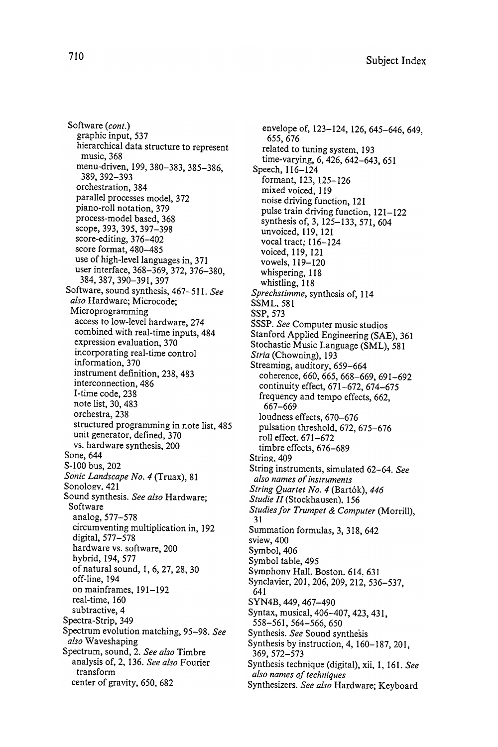Software (*cont*.)<br>graphic input, 537  $\sim$   $\sim$   $\sim$   $\sim$   $\sim$ hierarchical data structure to represent music, 368 389, 392 – 393 **. 200 , 389** orchestration , 384 **parallel process es model , 372** piano-roll notation, 379 process-model based, 368 scope , 393 , 397 , 398 , 397 , 398 , 398 , 397 , 398 , 397 , 398 , 397 , 398 , 397 , 398 , 397 , 397 , 397 , 39  $s = \alpha$ score format, 480–485<br>use of high-level languages in, 371 user interface, 368-369, 372, 376-380. user interface , 369 setembre , 369 setembre , 376 setembre , 376 setembre , 376 setembre , 372 setembre , 37 388 , 390 , 391 , 392 , 392 , 392 , 392 , 392 , 392 , 392 , 392 , 392 , 397 , 397 , 397 , 397 , 397 , 397 , 39 Software, sound synthesis, 467-511. See *also* Hardware; Microcode;<br>Microprogramming access to low-level hardware, 274 access to low - level hardware , 274 expression evaluation, 370 combined with real  $\mathbf{r}$  and  $\mathbf{r}$ incorporating real-time control information, 370 instrument definition, 238, 483 interconnection, 486 I-time code, 238 note list, 30, 483 orchestra, 238 structured programming in note list, 485 unit generator, defined, 370 vs. hardware synthesis, 200 Sone, 644 S-100 bus, 202 Sonic Landscape No. 4 (Truax), 81 Sonology, 421 Sound synthesis. See also Hardware; Software analog. 577-578 analog , 577 - 578  $\sim$   $\sim$   $\sim$  1920  $\sim$  1920  $\sim$  1920  $\sim$  1920  $\sim$  1920  $\sim$  1920  $\sim$  1920  $\sim$  1920  $\sim$  1920  $\sim$  1920  $\sim$  1920  $\sim$  1920  $\sim$  1920  $\sim$  1920  $\sim$  1920  $\sim$  1920  $\sim$  1920  $\sim$  1920  $\sim$  1920  $\sim$  1920  $\sim$  1920 digital , 577 - 578 hardware vs. software, 200 hybrid, 194, 577 of natural sound, 1, 6, 27, 28, 30 off-line, 194 on mainframes, 191-192 real-time, 160 subtractive, 4 Spectra - Strip , 3499 and 3499 and 3499 and 3499 and 3499 and 3499 and 3499 and 3499 and 3499 and 3499 and 3499 and Spectrum evolution matching , 95 - 98 . See Spectrum , sound , 2 . See also Timbre analysis of, 2, 136. See also Fourier transform center of gravity, 650, 682

envelope of, 123-124, 126, 645-646, 649, 655 , 676 related to tuning system, 193 time-varying, 6, 426, 642-643, 651 Speech, 116-124 formant, 123, 125-126 mixed voiced, 119 noise driving function, 121 pulse train driving function, 121-122 synthesis of, 3, 125-133, 571, 604 unvoiced, 119, 121 vocal tract; 116-124 voiced, 119, 121 vowels, 119-120 whispering, 118 whistling, 118 Sprechstimme, synthesis of, 114 SSML, 581 SSP, 573 SSSP. See Computer music studios Stanford Applied Engineering (SAE), 361 Stochastic Music Language (SML), 581 Stria (Chowning), 193 Streaming, auditory, 659-664 coherence, 660, 665, 668-669, 691-692 continuity effect, 671-672, 674-675 frequency and tempo effects, 662, 667-669 loudness effects, 670-676 pulsation threshold, 672, 675-676 roll effect, 671-672 timbre effects, 676–689 String, 409 String instruments, simulated 62-64. See also names of instruments String Quartet No. 4 (Bartók), 446 Studie II (Stockhausen), 156 Studies for Trumpet & Computer (Morrill), 31 Summation formulas, 3, 318, 642 sview, 400 Symbol, 406 Symbol table, 495 Symphony Hall, Boston, 614, 631 Synclavier, 201, 206, 209, 212, 536-537, 641 SYN4B, 449, 467-490 Syntax, musical, 406-407, 423, 431, 558 - 561 , 564 - 566 , 650 Synthesis. See Sound synthesis Synthesis by instruction,  $4, 160 - 187, 201$ , 369 , 572 - 573 Synthesis technique (digital), xii, 1, 161. See also names of techniques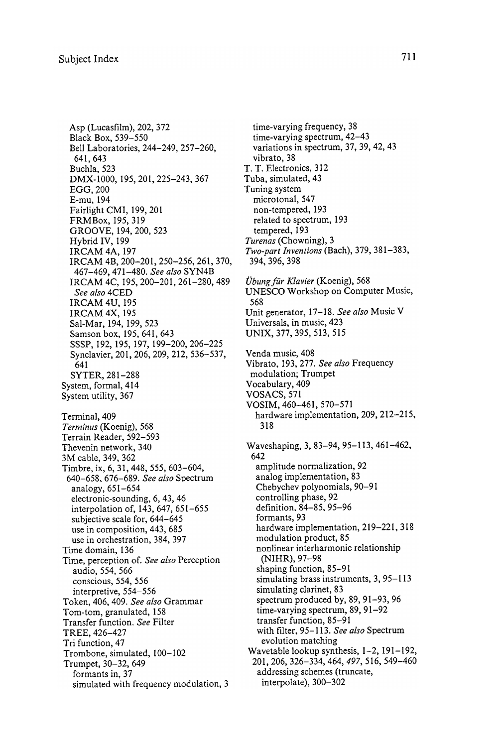Asp (Lucasfilm), 202, 372 Black Box, 539-550 Bell Laboratories, 244-249, 257-260, 641, 643 Buchla, 523 DMX-1000, 195, 201, 225-243, 367 EGG, 200 E-mu, 194 Fairlight CMI, 199, 201 FRMBox, 195, 319 GROOVE, 194, 200, 523 Hybrid IV, 199 IRCAM 4A, 197 IRCAM 4B, 200-201, 250-256, 261, 370, 467-469, 471-480. See also SYN4B IRCAM 4C, 195, 200-201, 261-280, 489 See also 4CED **IRCAM 4U, 195 IRCAM 4X, 195** Sal-Mar, 194, 199, 523 Samson box, 195, 641, 643 SSSP, 192, 195, 197, 199-200, 206-225 Synclavier, 201, 206, 209, 212, 536-537, 641 SYTER, 281-288 System, formal, 414 System utility, 367 Terminal, 409 Terminus (Koenig), 568 Terrain Reader, 592-593 Thevenin network, 340 3M cable, 349, 362 Timbre, ix, 6, 31, 448, 555, 603-604, 640-658, 676-689. See also Spectrum analogy, 651-654 electronic-sounding, 6, 43, 46 interpolation of, 143, 647, 651-655 subjective scale for, 644-645 use in composition, 443, 685 use in orchestration, 384, 397 Time domain, 136 Time, perception of. See also Perception audio, 554, 566 conscious, 554, 556 interpretive, 554-556 Token, 406, 409. See also Grammar Tom-tom, granulated, 158 Transfer function. See Filter TREE, 426-427 Tri function, 47 Trombone, simulated, 100-102 Trumpet, 30-32, 649 formants in, 37 simulated with frequency modulation, 3

time-varying frequency, 38 time-varying spectrum, 42-43 variations in spectrum, 37, 39, 42, 43 vibrato, 38 T. T. Electronics, 312 Tuba, simulated, 43 Tuning system microtonal, 547 non-tempered, 193 related to spectrum, 193 tempered, 193 Turenas (Chowning), 3 Two-part Inventions (Bach),  $379, 381 - 383$ , 394 , 396 , 398 Übung für Klavier (Koenig), 568 UNESCO Workshop on Computer Music, 568 Unit generator, 17-18. See also Music V Universals, in music, 423 UNIX , 377 , 395 , 513 , 515 Venda music, 408 Vibrato, 193, 277. See also Frequency modulation; Trumpet Vocabulary, 409 VOSACS , 571 VOSIM, 460-461, 570-571 hardware implementation, 209, 212-215, 318 Waveshaping, 3, 83-94, 95-113, 461-462, 642 amplitude normalization, 92 analog implementation, 83 Chebychev polynomials, 90-91 controlling phase, 92 definition, 84-85, 95-96 formants, 93 hardware implementation, 219–221, 318 modulation product, 85 nonlinear interharmonic relationship (NIHR), 97-98 shaping function, 85-91 simulating brass instruments, 3, 95–113 simulating clarinet, 83 spectrum produced by, 89, 91-93, 96 time-varying spectrum, 89, 91-92 transfer function, 85-91 with filter, 95-113. See also Spectrum evolution matching Wavetable lookup synthesis, 1-2, 191-192, 201 , 206 , 326 - 334 , 464 , 497 , 516 , 549 - 460 addressing schemes (truncate, interpolate), 300-302